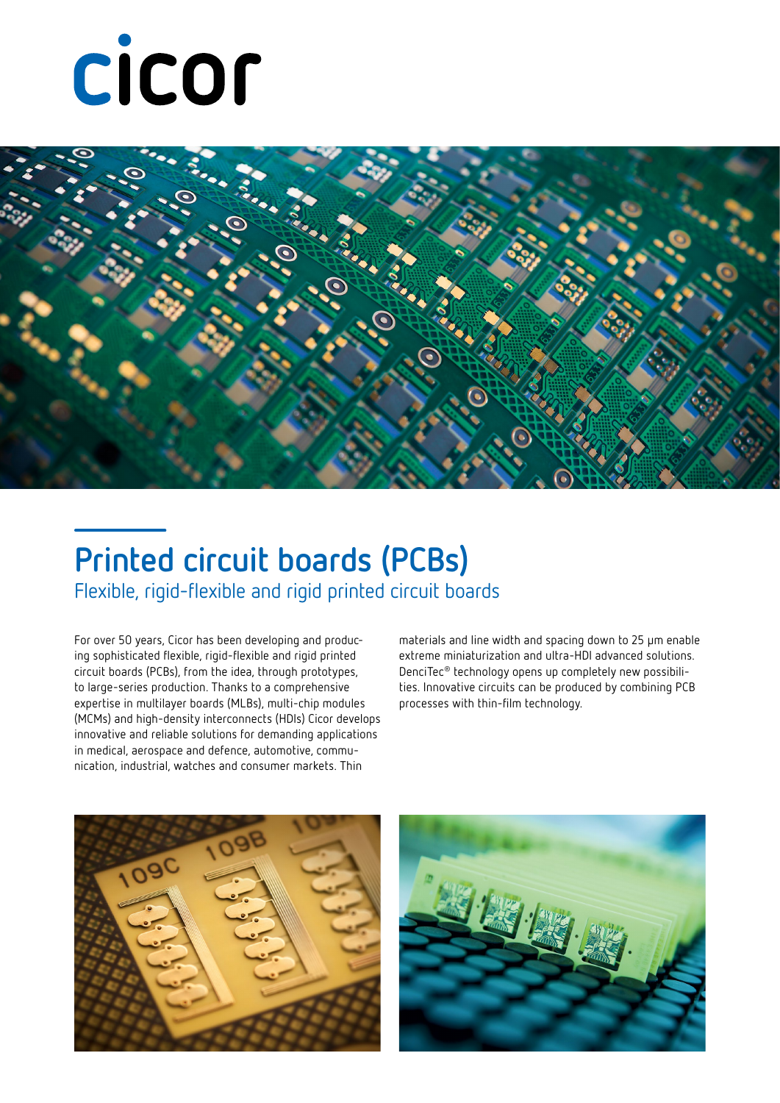



## **Printed circuit boards (PCBs)**

Flexible, rigid-flexible and rigid printed circuit boards

For over 50 years, Cicor has been developing and producing sophisticated flexible, rigid-flexible and rigid printed circuit boards (PCBs), from the idea, through prototypes, to large-series production. Thanks to a comprehensive expertise in multilayer boards (MLBs), multi-chip modules (MCMs) and high-density interconnects (HDIs) Cicor develops innovative and reliable solutions for demanding applications in medical, aerospace and defence, automotive, communication, industrial, watches and consumer markets. Thin

materials and line width and spacing down to 25 µm enable extreme miniaturization and ultra-HDI advanced solutions. DenciTec® technology opens up completely new possibilities. Innovative circuits can be produced by combining PCB processes with thin-film technology.